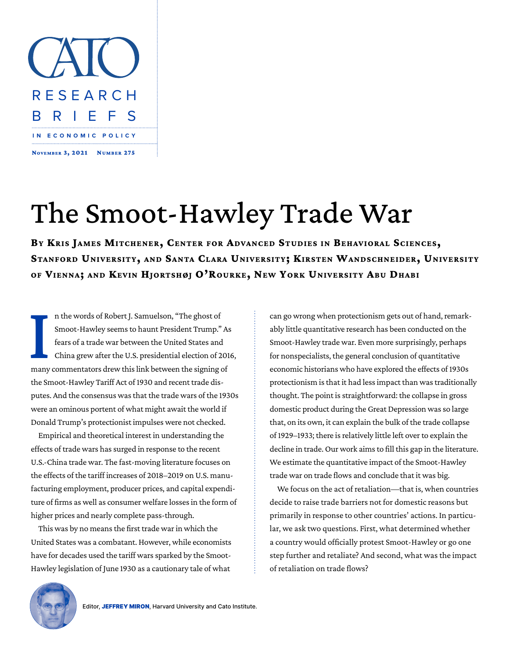

## The Smoot-Hawley Trade War

**By Kris James Mitchener, Center for Advanced Studies in Behavioral Sciences, Stanford University, and Santa Clara University; Kirsten Wandschneider, University of Vienna; and Kevin Hjortshøj O'Rourke, New York University Abu Dhabi**

**I**<br>many n the words of Robert J. Samuelson, "The ghost of Smoot-Hawley seems to haunt President Trump." As fears of a trade war between the United States and China grew after the U.S. presidential election of 2016, many commentators drew this link between the signing of the Smoot-Hawley Tariff Act of 1930 and recent trade disputes. And the consensus was that the trade wars of the 1930s were an ominous portent of what might await the world if Donald Trump's protectionist impulses were not checked.

Empirical and theoretical interest in understanding the effects of trade wars has surged in response to the recent U.S.-China trade war. The fast-moving literature focuses on the effects of the tariff increases of 2018–2019 on U.S. manufacturing employment, producer prices, and capital expenditure of firms as well as consumer welfare losses in the form of higher prices and nearly complete pass-through.

This was by no means the first trade war in which the United States was a combatant. However, while economists have for decades used the tariff wars sparked by the Smoot-Hawley legislation of June 1930 as a cautionary tale of what can go wrong when protectionism gets out of hand, remarkably little quantitative research has been conducted on the Smoot-Hawley trade war. Even more surprisingly, perhaps for nonspecialists, the general conclusion of quantitative economic historians who have explored the effects of 1930s protectionism is that it had less impact than was traditionally thought. The point is straightforward: the collapse in gross domestic product during the Great Depression was so large that, on its own, it can explain the bulk of the trade collapse of 1929–1933; there is relatively little left over to explain the decline in trade. Our work aims to fill this gap in the literature. We estimate the quantitative impact of the Smoot-Hawley trade war on trade flows and conclude that it was big.

We focus on the act of retaliation—that is, when countries decide to raise trade barriers not for domestic reasons but primarily in response to other countries' actions. In particular, we ask two questions. First, what determined whether a country would officially protest Smoot-Hawley or go one step further and retaliate? And second, what was the impact of retaliation on trade flows?